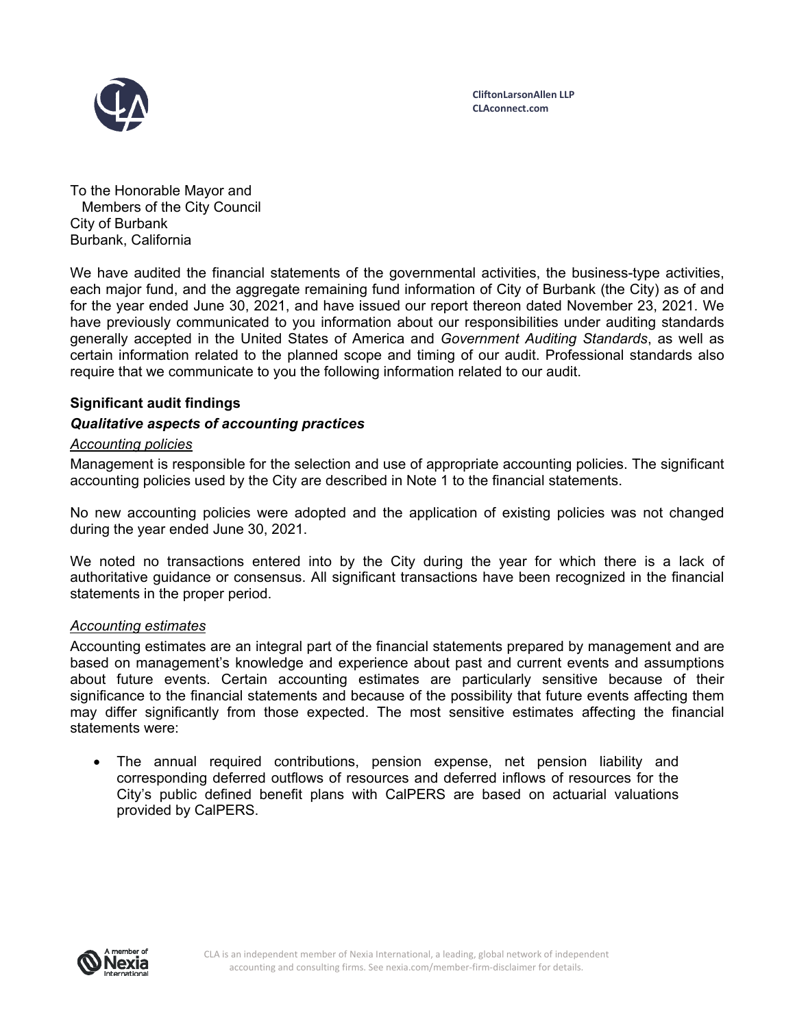

To the Honorable Mayor and Members of the City Council City of Burbank Burbank, California

We have audited the financial statements of the governmental activities, the business-type activities, each major fund, and the aggregate remaining fund information of City of Burbank (the City) as of and for the year ended June 30, 2021, and have issued our report thereon dated November 23, 2021. We have previously communicated to you information about our responsibilities under auditing standards generally accepted in the United States of America and *Government Auditing Standards*, as well as certain information related to the planned scope and timing of our audit. Professional standards also require that we communicate to you the following information related to our audit.

# **Significant audit findings**

### *Qualitative aspects of accounting practices*

#### *Accounting policies*

Management is responsible for the selection and use of appropriate accounting policies. The significant accounting policies used by the City are described in Note 1 to the financial statements.

No new accounting policies were adopted and the application of existing policies was not changed during the year ended June 30, 2021.

We noted no transactions entered into by the City during the year for which there is a lack of authoritative guidance or consensus. All significant transactions have been recognized in the financial statements in the proper period.

#### *Accounting estimates*

Accounting estimates are an integral part of the financial statements prepared by management and are based on management's knowledge and experience about past and current events and assumptions about future events. Certain accounting estimates are particularly sensitive because of their significance to the financial statements and because of the possibility that future events affecting them may differ significantly from those expected. The most sensitive estimates affecting the financial statements were:

 The annual required contributions, pension expense, net pension liability and corresponding deferred outflows of resources and deferred inflows of resources for the City's public defined benefit plans with CalPERS are based on actuarial valuations provided by CalPERS.

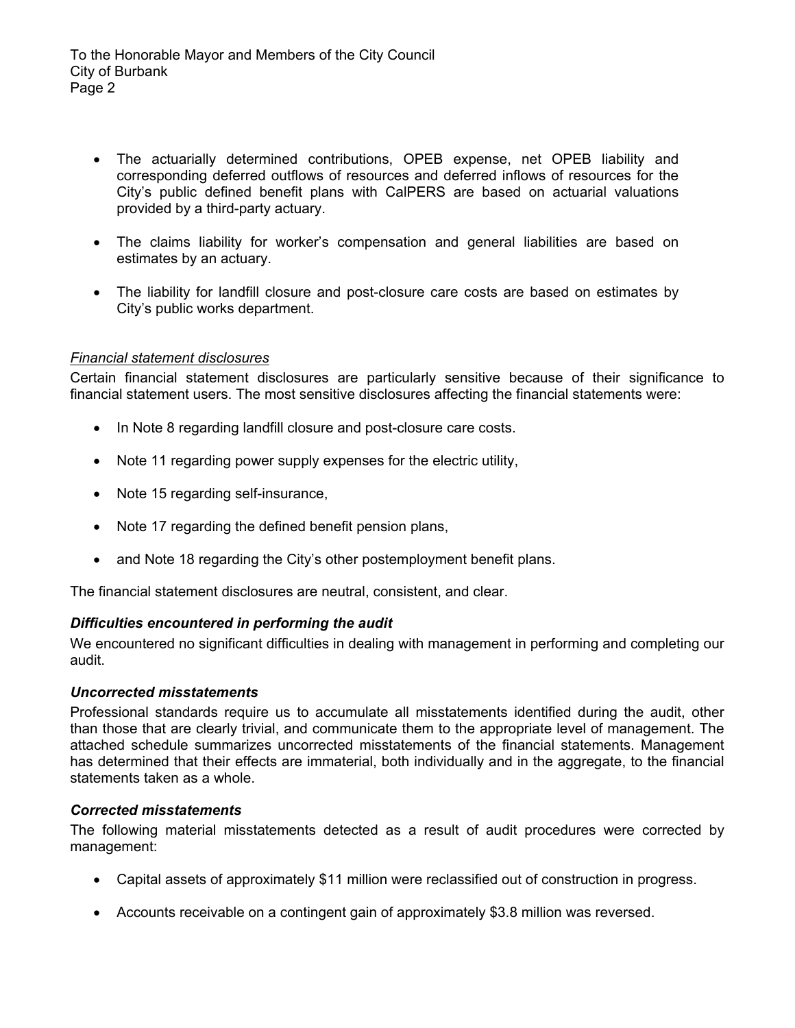- The actuarially determined contributions, OPEB expense, net OPEB liability and corresponding deferred outflows of resources and deferred inflows of resources for the City's public defined benefit plans with CalPERS are based on actuarial valuations provided by a third-party actuary.
- The claims liability for worker's compensation and general liabilities are based on estimates by an actuary.
- The liability for landfill closure and post-closure care costs are based on estimates by City's public works department.

# *Financial statement disclosures*

Certain financial statement disclosures are particularly sensitive because of their significance to financial statement users. The most sensitive disclosures affecting the financial statements were:

- In Note 8 regarding landfill closure and post-closure care costs.
- Note 11 regarding power supply expenses for the electric utility,
- Note 15 regarding self-insurance,
- Note 17 regarding the defined benefit pension plans,
- and Note 18 regarding the City's other postemployment benefit plans.

The financial statement disclosures are neutral, consistent, and clear.

# *Difficulties encountered in performing the audit*

We encountered no significant difficulties in dealing with management in performing and completing our audit.

# *Uncorrected misstatements*

Professional standards require us to accumulate all misstatements identified during the audit, other than those that are clearly trivial, and communicate them to the appropriate level of management. The attached schedule summarizes uncorrected misstatements of the financial statements. Management has determined that their effects are immaterial, both individually and in the aggregate, to the financial statements taken as a whole.

# *Corrected misstatements*

The following material misstatements detected as a result of audit procedures were corrected by management:

- Capital assets of approximately \$11 million were reclassified out of construction in progress.
- Accounts receivable on a contingent gain of approximately \$3.8 million was reversed.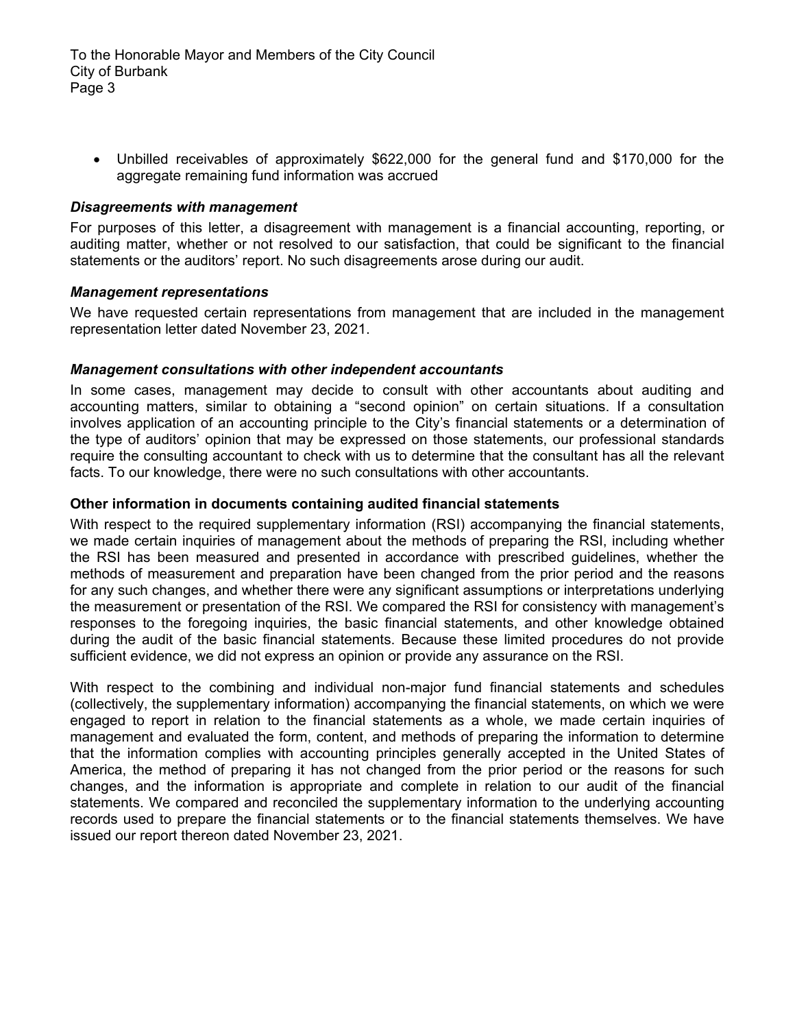Unbilled receivables of approximately \$622,000 for the general fund and \$170,000 for the aggregate remaining fund information was accrued

### *Disagreements with management*

For purposes of this letter, a disagreement with management is a financial accounting, reporting, or auditing matter, whether or not resolved to our satisfaction, that could be significant to the financial statements or the auditors' report. No such disagreements arose during our audit.

#### *Management representations*

We have requested certain representations from management that are included in the management representation letter dated November 23, 2021.

### *Management consultations with other independent accountants*

In some cases, management may decide to consult with other accountants about auditing and accounting matters, similar to obtaining a "second opinion" on certain situations. If a consultation involves application of an accounting principle to the City's financial statements or a determination of the type of auditors' opinion that may be expressed on those statements, our professional standards require the consulting accountant to check with us to determine that the consultant has all the relevant facts. To our knowledge, there were no such consultations with other accountants.

### **Other information in documents containing audited financial statements**

With respect to the required supplementary information (RSI) accompanying the financial statements, we made certain inquiries of management about the methods of preparing the RSI, including whether the RSI has been measured and presented in accordance with prescribed guidelines, whether the methods of measurement and preparation have been changed from the prior period and the reasons for any such changes, and whether there were any significant assumptions or interpretations underlying the measurement or presentation of the RSI. We compared the RSI for consistency with management's responses to the foregoing inquiries, the basic financial statements, and other knowledge obtained during the audit of the basic financial statements. Because these limited procedures do not provide sufficient evidence, we did not express an opinion or provide any assurance on the RSI.

With respect to the combining and individual non-major fund financial statements and schedules (collectively, the supplementary information) accompanying the financial statements, on which we were engaged to report in relation to the financial statements as a whole, we made certain inquiries of management and evaluated the form, content, and methods of preparing the information to determine that the information complies with accounting principles generally accepted in the United States of America, the method of preparing it has not changed from the prior period or the reasons for such changes, and the information is appropriate and complete in relation to our audit of the financial statements. We compared and reconciled the supplementary information to the underlying accounting records used to prepare the financial statements or to the financial statements themselves. We have issued our report thereon dated November 23, 2021.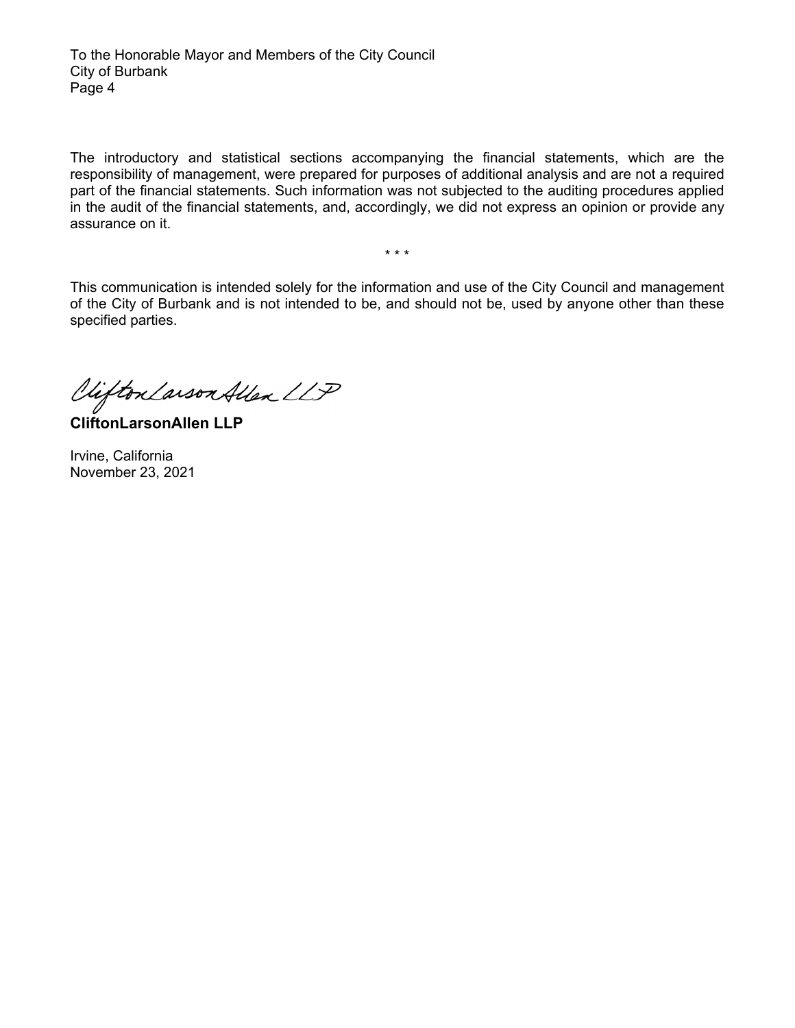The introductory and statistical sections accompanying the financial statements, which are the responsibility of management, were prepared for purposes of additional analysis and are not a required part of the financial statements. Such information was not subjected to the auditing procedures applied in the audit of the financial statements, and, accordingly, we did not express an opinion or provide any assurance on it.

\* \* \*

This communication is intended solely for the information and use of the City Council and management of the City of Burbank and is not intended to be, and should not be, used by anyone other than these specified parties.

Viifton Larson Allen LLP

**CliftonLarsonAllen LLP** 

Irvine, California November 23, 2021